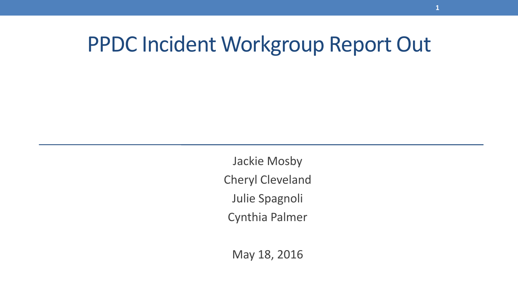#### PPDC Incident Workgroup Report Out

Jackie Mosby Cheryl Cleveland Julie Spagnoli Cynthia Palmer

May 18, 2016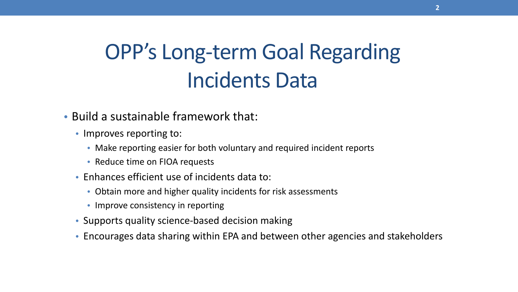## OPP's Long-term Goal Regarding Incidents Data

- Build a sustainable framework that:
	- Improves reporting to:
		- Make reporting easier for both voluntary and required incident reports
		- Reduce time on FIOA requests
	- Enhances efficient use of incidents data to:
		- Obtain more and higher quality incidents for risk assessments
		- Improve consistency in reporting
	- Supports quality science-based decision making
	- Encourages data sharing within EPA and between other agencies and stakeholders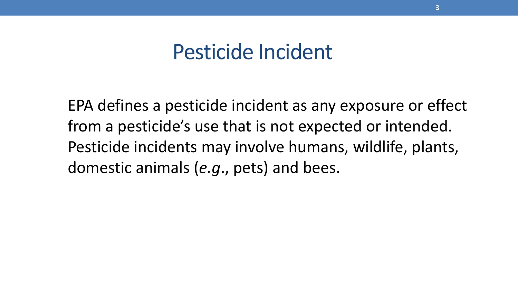#### Pesticide Incident

EPA defines a pesticide incident as any exposure or effect from a pesticide's use that is not expected or intended. Pesticide incidents may involve humans, wildlife, plants, domestic animals (*e.g*., pets) and bees.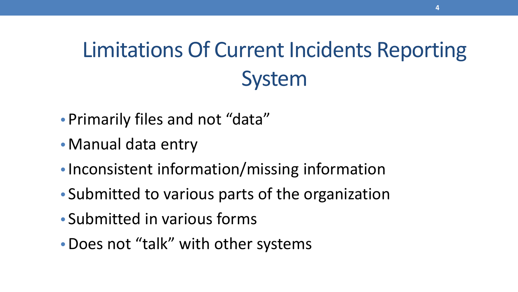# Limitations Of Current Incidents Reporting System

- Primarily files and not "data"
- Manual data entry
- Inconsistent information/missing information
- Submitted to various parts of the organization
- Submitted in various forms
- •Does not "talk" with other systems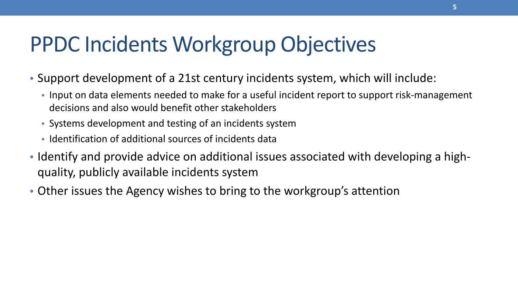### PPDC Incidents Workgroup Objectives

- Support development of a 21st century incidents system, which will include:
	- Input on data elements needed to make for a useful incident report to support risk-management decisions and also would benefit other stakeholders
	- Systems development and testing of an incidents system
	- Identification of additional sources of incidents data
- Identify and provide advice on additional issues associated with developing a highquality, publicly available incidents system
- Other issues the Agency wishes to bring to the workgroup's attention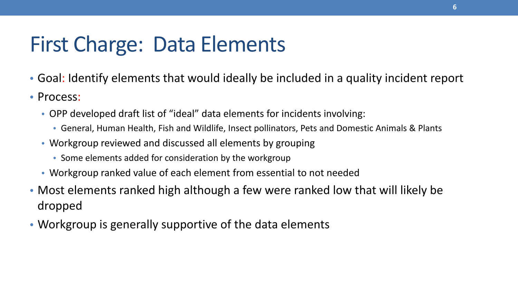### First Charge: Data Elements

- Goal: Identify elements that would ideally be included in a quality incident report
- Process:
	- OPP developed draft list of "ideal" data elements for incidents involving:
		- General, Human Health, Fish and Wildlife, Insect pollinators, Pets and Domestic Animals & Plants
	- Workgroup reviewed and discussed all elements by grouping
		- Some elements added for consideration by the workgroup
	- Workgroup ranked value of each element from essential to not needed
- Most elements ranked high although a few were ranked low that will likely be dropped
- Workgroup is generally supportive of the data elements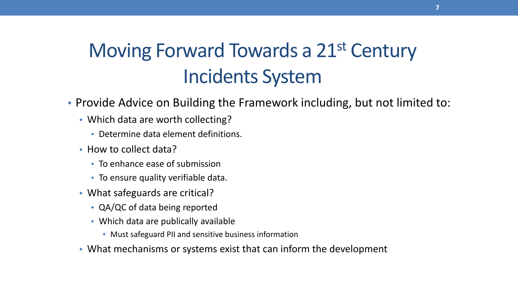#### Moving Forward Towards a 21st Century Incidents System

- Provide Advice on Building the Framework including, but not limited to:
	- Which data are worth collecting?
		- Determine data element definitions.
	- How to collect data?
		- To enhance ease of submission
		- To ensure quality verifiable data.
	- What safeguards are critical?
		- QA/QC of data being reported
		- Which data are publically available
			- Must safeguard PII and sensitive business information
	- What mechanisms or systems exist that can inform the development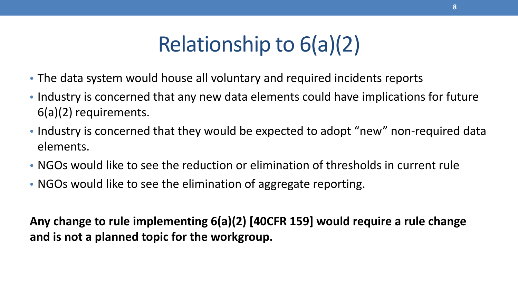## Relationship to 6(a)(2)

- The data system would house all voluntary and required incidents reports
- Industry is concerned that any new data elements could have implications for future 6(a)(2) requirements.
- Industry is concerned that they would be expected to adopt "new" non-required data elements.
- NGOs would like to see the reduction or elimination of thresholds in current rule
- NGOs would like to see the elimination of aggregate reporting.

**Any change to rule implementing 6(a)(2) [40CFR 159] would require a rule change and is not a planned topic for the workgroup.**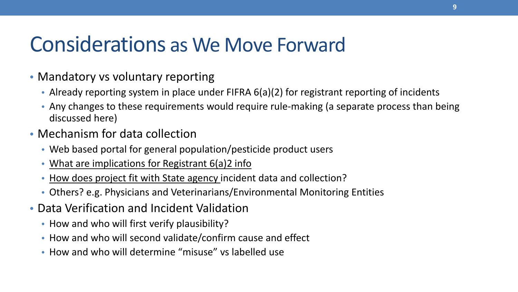#### Considerations as We Move Forward

- Mandatory vs voluntary reporting
	- Already reporting system in place under FIFRA 6(a)(2) for registrant reporting of incidents
	- Any changes to these requirements would require rule-making (a separate process than being discussed here)
- Mechanism for data collection
	- Web based portal for general population/pesticide product users
	- What are implications for Registrant 6(a)2 info
	- How does project fit with State agency incident data and collection?
	- Others? e.g. Physicians and Veterinarians/Environmental Monitoring Entities
- Data Verification and Incident Validation
	- How and who will first verify plausibility?
	- How and who will second validate/confirm cause and effect
	- How and who will determine "misuse" vs labelled use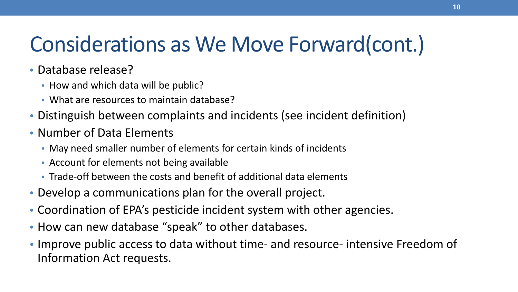## Considerations as We Move Forward(cont.)

- Database release?
	- How and which data will be public?
	- What are resources to maintain database?
- Distinguish between complaints and incidents (see incident definition)
- Number of Data Elements
	- May need smaller number of elements for certain kinds of incidents
	- Account for elements not being available
	- Trade-off between the costs and benefit of additional data elements
- Develop a communications plan for the overall project.
- Coordination of EPA's pesticide incident system with other agencies.
- How can new database "speak" to other databases.
- Improve public access to data without time- and resource- intensive Freedom of Information Act requests.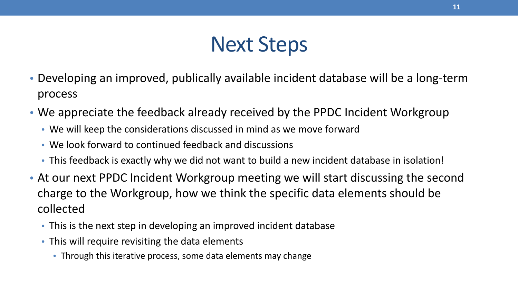#### Next Steps

- Developing an improved, publically available incident database will be a long-term process
- We appreciate the feedback already received by the PPDC Incident Workgroup
	- We will keep the considerations discussed in mind as we move forward
	- We look forward to continued feedback and discussions
	- This feedback is exactly why we did not want to build a new incident database in isolation!
- At our next PPDC Incident Workgroup meeting we will start discussing the second charge to the Workgroup, how we think the specific data elements should be collected
	- This is the next step in developing an improved incident database
	- This will require revisiting the data elements
		- Through this iterative process, some data elements may change